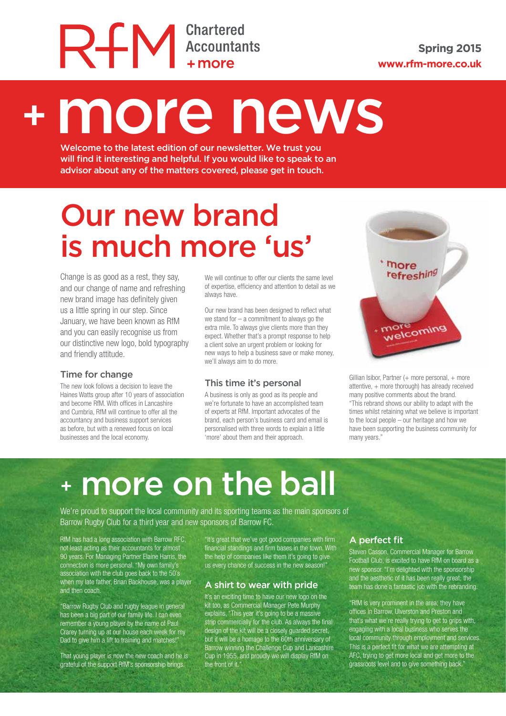# RFM Chartered

# + more news

Welcome to the latest edition of our newsletter. We trust you will find it interesting and helpful. If you would like to speak to an advisor about any of the matters covered, please get in touch.

# Our new brand is much more 'us'

Change is as good as a rest, they say, and our change of name and refreshing new brand image has definitely given us a little spring in our step. Since January, we have been known as RfM and you can easily recognise us from our distinctive new logo, bold typography and friendly attitude.

#### Time for change

The new look follows a decision to leave the Haines Watts group after 10 years of association and become RfM. With offices in Lancashire and Cumbria, RfM will continue to offer all the accountancy and business support services as before, but with a renewed focus on local businesses and the local economy.

We will continue to offer our clients the same level of expertise, efficiency and attention to detail as we always have.

Our new brand has been designed to reflect what we stand for  $-$  a commitment to always go the extra mile. To always give clients more than they expect. Whether that's a prompt response to help a client solve an urgent problem or looking for new ways to help a business save or make money, we'll always aim to do more.

#### This time it's personal

A business is only as good as its people and we're fortunate to have an accomplished team of experts at RfM. Important advocates of the brand, each person's business card and email is personalised with three words to explain a little 'more' about them and their approach.



Gillian Isibor, Partner  $(+)$  more personal,  $+$  more attentive, + more thorough) has already received many positive comments about the brand. "This rebrand shows our ability to adapt with the times whilst retaining what we believe is important to the local people – our heritage and how we have been supporting the business community for many years."

## <sup>+</sup> more on the ball

We're proud to support the local community and its sporting teams as the main sponsors of Barrow Rugby Club for a third year and new sponsors of Barrow FC.

RfM has had a long association with Barrow RFC, not least acting as their accountants for almost 90 years. For Managing Partner Elaine Harris, the connection is more personal. "My own family's association with the club goes back to the 50's when my late father, Brian Backhouse, was a player and then coach.

"Barrow Rugby Club and rugby league in general has been a big part of our family life. I can even remember a young player by the name of Paul Crarey turning up at our house each week for my Dad to give him a lift to training and matches!"

That young player is now the new coach and he is grateful of the support RfM's sponsorship brings.

"It's great that we've got good companies with firm financial standings and firm bases in the town. With the help of companies like them it's going to give us every chance of success in the new season!"

#### A shirt to wear with pride

It's an exciting time to have our new logo on the kit too, as Commercial Manager Pete Murphy explains, "This year it's going to be a massive strip commercially for the club. As always the final design of the kit will be a closely guarded secret, but it will be a homage to the 60th anniversary of Barrow winning the Challenge Cup and Lancashire Cup in 1955, and proudly we will display RfM on the front of it."

#### A perfect fit

Steven Casson, Commercial Manager for Barrow Football Club, is excited to have RfM on board as a new sponsor."I'm delighted with the sponsorship and the aesthetic of it has been really great; the team has done a fantastic job with the rebranding.

"RfM is very prominent in the area; they have offices in Barrow, Ulverston and Preston and that's what we're really trying to get to grips with, engaging with a local business who serves the local community through employment and services. This is a perfect fit for what we are attempting at AFC, trying to get more local and get more to the grassroots level and to give something back."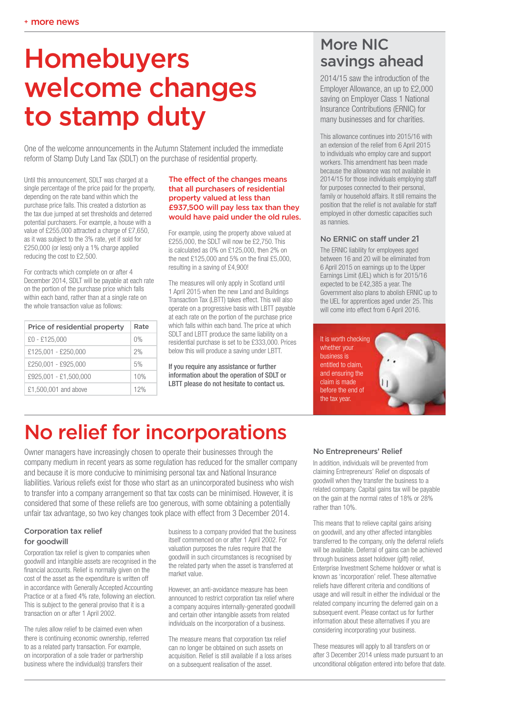## Homebuyers welcome changes to stamp duty

One of the welcome announcements in the Autumn Statement included the immediate reform of Stamp Duty Land Tax (SDLT) on the purchase of residential property.

Until this announcement, SDLT was charged at a single percentage of the price paid for the property, depending on the rate band within which the purchase price falls. This created a distortion as the tax due jumped at set thresholds and deterred potential purchasers. For example, a house with a value of £255,000 attracted a charge of £7,650, as it was subject to the 3% rate, yet if sold for £250,000 (or less) only a 1% charge applied reducing the cost to £2,500.

For contracts which complete on or after 4 December 2014, SDLT will be payable at each rate on the portion of the purchase price which falls within each band, rather than at a single rate on the whole transaction value as follows:

| Price of residential property | Rate  |
|-------------------------------|-------|
| £0 - £125,000                 | $0\%$ |
| £125.001 - £250.000           | 2%    |
| £250,001 - £925.000           | 5%    |
| £925,001 - £1,500,000         | 10%   |
| £1,500,001 and above          | 12%   |

#### The effect of the changes means that all purchasers of residential property valued at less than £937,500 will pay less tax than they would have paid under the old rules.

For example, using the property above valued at £255,000, the SDLT will now be £2,750. This is calculated as 0% on £125,000, then 2% on the next £125,000 and 5% on the final £5,000, resulting in a saving of £4,900!

The measures will only apply in Scotland until 1 April 2015 when the new Land and Buildings Transaction Tax (LBTT) takes effect. This will also operate on a progressive basis with LBTT payable at each rate on the portion of the purchase price which falls within each band. The price at which SDLT and LBTT produce the same liability on a residential purchase is set to be £333,000. Prices below this will produce a saving under LBTT.

If you require any assistance or further information about the operation of SDLT or LBTT please do not hesitate to contact us.

### More NIC savings ahead

2014/15 saw the introduction of the Employer Allowance, an up to £2,000 saving on Employer Class 1 National Insurance Contributions (ERNIC) for many businesses and for charities.

This allowance continues into 2015/16 with an extension of the relief from 6 April 2015 to individuals who employ care and support workers. This amendment has been made because the allowance was not available in 2014/15 for those individuals employing staff for purposes connected to their personal, family or household affairs. It still remains the position that the relief is not available for staff employed in other domestic capacities such as nannies.

#### No ERNIC on staff under 21

The ERNIC liability for employees aged between 16 and 20 will be eliminated from 6 April 2015 on earnings up to the Upper Earnings Limit (UEL) which is for 2015/16 expected to be £42,385 a year. The Government also plans to abolish ERNIC up to the UEL for apprentices aged under 25. This will come into effect from 6 April 2016.

It is worth checking whether your business is entitled to claim, and ensuring the claim is made before the end of the tax year.



### No relief for incorporations

Owner managers have increasingly chosen to operate their businesses through the company medium in recent years as some regulation has reduced for the smaller company and because it is more conducive to minimising personal tax and National Insurance liabilities. Various reliefs exist for those who start as an unincorporated business who wish to transfer into a company arrangement so that tax costs can be minimised. However, it is considered that some of these reliefs are too generous, with some obtaining a potentially unfair tax advantage, so two key changes took place with effect from 3 December 2014.

#### Corporation tax relief for goodwill

Corporation tax relief is given to companies when goodwill and intangible assets are recognised in the financial accounts. Relief is normally given on the cost of the asset as the expenditure is written off in accordance with Generally Accepted Accounting Practice or at a fixed 4% rate, following an election. This is subject to the general proviso that it is a transaction on or after 1 April 2002.

The rules allow relief to be claimed even when there is continuing economic ownership, referred to as a related party transaction. For example, on incorporation of a sole trader or partnership business where the individual(s) transfers their

business to a company provided that the business itself commenced on or after 1 April 2002. For valuation purposes the rules require that the goodwill in such circumstances is recognised by the related party when the asset is transferred at market value.

However, an anti-avoidance measure has been announced to restrict corporation tax relief where a company acquires internally-generated goodwill and certain other intangible assets from related individuals on the incorporation of a business.

The measure means that corporation tax relief can no longer be obtained on such assets on acquisition. Relief is still available if a loss arises on a subsequent realisation of the asset.

#### No Entrepreneurs' Relief

In addition, individuals will be prevented from claiming Entrepreneurs' Relief on disposals of goodwill when they transfer the business to a related company. Capital gains tax will be payable on the gain at the normal rates of 18% or 28% rather than 10%.

This means that to relieve capital gains arising on goodwill, and any other affected intangibles transferred to the company, only the deferral reliefs will be available. Deferral of gains can be achieved through business asset holdover (gift) relief, Enterprise Investment Scheme holdover or what is known as 'incorporation' relief. These alternative reliefs have different criteria and conditions of usage and will result in either the individual or the related company incurring the deferred gain on a subsequent event. Please contact us for further information about these alternatives if you are considering incorporating your business.

These measures will apply to all transfers on or after 3 December 2014 unless made pursuant to an unconditional obligation entered into before that date.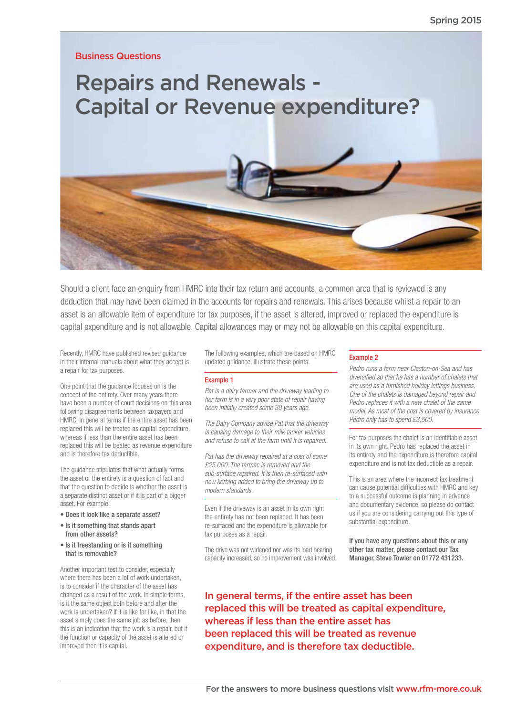Business Questions

Repairs and Renewals - Capital or Revenue expenditure?



Should a client face an enquiry from HMRC into their tax return and accounts, a common area that is reviewed is any deduction that may have been claimed in the accounts for repairs and renewals. This arises because whilst a repair to an asset is an allowable item of expenditure for tax purposes, if the asset is altered, improved or replaced the expenditure is capital expenditure and is not allowable. Capital allowances may or may not be allowable on this capital expenditure.

Recently, HMRC have published revised guidance in their internal manuals about what they accept is a repair for tax purposes.

One point that the guidance focuses on is the concept of the entirety. Over many years there have been a number of court decisions on this area following disagreements between taxpayers and HMRC. In general terms if the entire asset has been replaced this will be treated as capital expenditure, whereas if less than the entire asset has been replaced this will be treated as revenue expenditure and is therefore tax deductible.

The guidance stipulates that what actually forms the asset or the entirety is a question of fact and that the question to decide is whether the asset is a separate distinct asset or if it is part of a bigger asset. For example:

- Does it look like a separate asset?
- Is it something that stands apart from other assets?
- Is it freestanding or is it something that is removable?

Another important test to consider, especially where there has been a lot of work undertaken, is to consider if the character of the asset has changed as a result of the work. In simple terms, is it the same object both before and after the work is undertaken? If it is like for like, in that the asset simply does the same job as before, then this is an indication that the work is a repair, but if the function or capacity of the asset is altered or improved then it is capital.

The following examples, which are based on HMRC updated guidance, illustrate these points.

#### Example 1

*Pat is a dairy farmer and the driveway leading to her farm is in a very poor state of repair having been initially created some 30 years ago.*

*The Dairy Company advise Pat that the driveway is causing damage to their milk tanker vehicles and refuse to call at the farm until it is repaired.*

*Pat has the driveway repaired at a cost of some £25,000. The tarmac is removed and the sub-surface repaired. It is then re-surfaced with new kerbing added to bring the driveway up to modern standards.*

Even if the driveway is an asset in its own right the entirety has not been replaced. It has been re-surfaced and the expenditure is allowable for tax purposes as a repair.

The drive was not widened nor was its load bearing capacity increased, so no improvement was involved.

#### Example 2

*Pedro runs a farm near Clacton-on-Sea and has diversified so that he has a number of chalets that are used as a furnished holiday lettings business. One of the chalets is damaged beyond repair and Pedro replaces it with a new chalet of the same model. As most of the cost is covered by insurance, Pedro only has to spend £3,500.*

For tax purposes the chalet is an identifiable asset in its own right. Pedro has replaced the asset in its entirety and the expenditure is therefore capital expenditure and is not tax deductible as a repair.

This is an area where the incorrect tax treatment can cause potential difficulties with HMRC and key to a successful outcome is planning in advance and documentary evidence, so please do contact us if you are considering carrying out this type of substantial expenditure.

If you have any questions about this or any other tax matter, please contact our Tax Manager, Steve Towler on 01772 431233.

In general terms, if the entire asset has been replaced this will be treated as capital expenditure, whereas if less than the entire asset has been replaced this will be treated as revenue expenditure, and is therefore tax deductible.